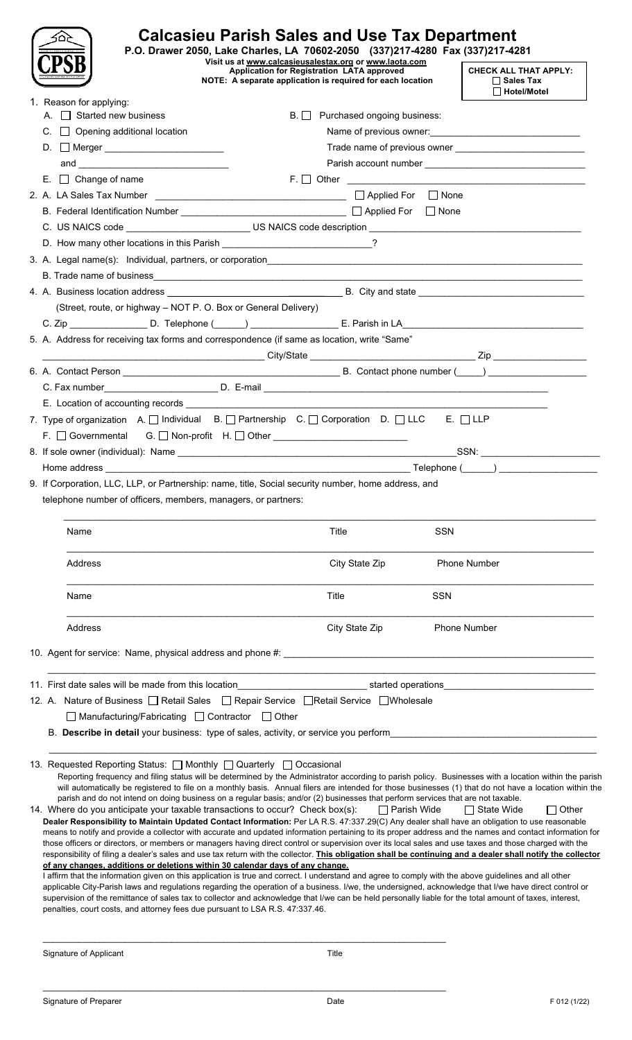|  |                                         |                                                                                                                                                                                                                                                                                                                                                                                                                                                                                                                                                                                                                                                                                                                                                                                                                                                                                                                                                                                                                                                                                                                                                                                                                                                                                                                                                                                                                                                                                                                                                                                                                                                                                                                                                                                                                                                                                                      | <b>Calcasieu Parish Sales and Use Tax Department</b><br>P.O. Drawer 2050, Lake Charles, LA 70602-2050 (337)217-4280 Fax (337)217-4281<br>Visit us at www.calcasieusalestax.org or www.laota.com |                                     |                                                                                           |  |
|--|-----------------------------------------|------------------------------------------------------------------------------------------------------------------------------------------------------------------------------------------------------------------------------------------------------------------------------------------------------------------------------------------------------------------------------------------------------------------------------------------------------------------------------------------------------------------------------------------------------------------------------------------------------------------------------------------------------------------------------------------------------------------------------------------------------------------------------------------------------------------------------------------------------------------------------------------------------------------------------------------------------------------------------------------------------------------------------------------------------------------------------------------------------------------------------------------------------------------------------------------------------------------------------------------------------------------------------------------------------------------------------------------------------------------------------------------------------------------------------------------------------------------------------------------------------------------------------------------------------------------------------------------------------------------------------------------------------------------------------------------------------------------------------------------------------------------------------------------------------------------------------------------------------------------------------------------------------|-------------------------------------------------------------------------------------------------------------------------------------------------------------------------------------------------|-------------------------------------|-------------------------------------------------------------------------------------------|--|
|  |                                         |                                                                                                                                                                                                                                                                                                                                                                                                                                                                                                                                                                                                                                                                                                                                                                                                                                                                                                                                                                                                                                                                                                                                                                                                                                                                                                                                                                                                                                                                                                                                                                                                                                                                                                                                                                                                                                                                                                      | <b>Application for Registration LATA approved</b><br>NOTE: A separate application is required for each location                                                                                 |                                     | <b>CHECK ALL THAT APPLY:</b><br>$\Box$ Sales Tax<br>$\Box$ Hotel/Motel                    |  |
|  |                                         | 1. Reason for applying:                                                                                                                                                                                                                                                                                                                                                                                                                                                                                                                                                                                                                                                                                                                                                                                                                                                                                                                                                                                                                                                                                                                                                                                                                                                                                                                                                                                                                                                                                                                                                                                                                                                                                                                                                                                                                                                                              |                                                                                                                                                                                                 |                                     |                                                                                           |  |
|  |                                         | A. $\Box$ Started new business                                                                                                                                                                                                                                                                                                                                                                                                                                                                                                                                                                                                                                                                                                                                                                                                                                                                                                                                                                                                                                                                                                                                                                                                                                                                                                                                                                                                                                                                                                                                                                                                                                                                                                                                                                                                                                                                       | B. Purchased ongoing business:                                                                                                                                                                  |                                     |                                                                                           |  |
|  | $C.$ $\Box$ Opening additional location |                                                                                                                                                                                                                                                                                                                                                                                                                                                                                                                                                                                                                                                                                                                                                                                                                                                                                                                                                                                                                                                                                                                                                                                                                                                                                                                                                                                                                                                                                                                                                                                                                                                                                                                                                                                                                                                                                                      |                                                                                                                                                                                                 | Name of previous owner:<br><u> </u> |                                                                                           |  |
|  |                                         | D. Merger _________________________                                                                                                                                                                                                                                                                                                                                                                                                                                                                                                                                                                                                                                                                                                                                                                                                                                                                                                                                                                                                                                                                                                                                                                                                                                                                                                                                                                                                                                                                                                                                                                                                                                                                                                                                                                                                                                                                  |                                                                                                                                                                                                 |                                     | Trade name of previous owner <b>contained a manufature of the state of previous owner</b> |  |
|  |                                         |                                                                                                                                                                                                                                                                                                                                                                                                                                                                                                                                                                                                                                                                                                                                                                                                                                                                                                                                                                                                                                                                                                                                                                                                                                                                                                                                                                                                                                                                                                                                                                                                                                                                                                                                                                                                                                                                                                      |                                                                                                                                                                                                 |                                     |                                                                                           |  |
|  |                                         | $E.$ $\Box$ Change of name                                                                                                                                                                                                                                                                                                                                                                                                                                                                                                                                                                                                                                                                                                                                                                                                                                                                                                                                                                                                                                                                                                                                                                                                                                                                                                                                                                                                                                                                                                                                                                                                                                                                                                                                                                                                                                                                           |                                                                                                                                                                                                 |                                     |                                                                                           |  |
|  |                                         |                                                                                                                                                                                                                                                                                                                                                                                                                                                                                                                                                                                                                                                                                                                                                                                                                                                                                                                                                                                                                                                                                                                                                                                                                                                                                                                                                                                                                                                                                                                                                                                                                                                                                                                                                                                                                                                                                                      |                                                                                                                                                                                                 |                                     |                                                                                           |  |
|  |                                         |                                                                                                                                                                                                                                                                                                                                                                                                                                                                                                                                                                                                                                                                                                                                                                                                                                                                                                                                                                                                                                                                                                                                                                                                                                                                                                                                                                                                                                                                                                                                                                                                                                                                                                                                                                                                                                                                                                      |                                                                                                                                                                                                 |                                     |                                                                                           |  |
|  |                                         | C. US NAICS code entrance US NAICS code description entrance use of the state of the state of the state of the state of the state of the state of the state of the state of the state of the state of the state of the state o                                                                                                                                                                                                                                                                                                                                                                                                                                                                                                                                                                                                                                                                                                                                                                                                                                                                                                                                                                                                                                                                                                                                                                                                                                                                                                                                                                                                                                                                                                                                                                                                                                                                       |                                                                                                                                                                                                 |                                     |                                                                                           |  |
|  |                                         |                                                                                                                                                                                                                                                                                                                                                                                                                                                                                                                                                                                                                                                                                                                                                                                                                                                                                                                                                                                                                                                                                                                                                                                                                                                                                                                                                                                                                                                                                                                                                                                                                                                                                                                                                                                                                                                                                                      |                                                                                                                                                                                                 |                                     |                                                                                           |  |
|  |                                         |                                                                                                                                                                                                                                                                                                                                                                                                                                                                                                                                                                                                                                                                                                                                                                                                                                                                                                                                                                                                                                                                                                                                                                                                                                                                                                                                                                                                                                                                                                                                                                                                                                                                                                                                                                                                                                                                                                      |                                                                                                                                                                                                 |                                     |                                                                                           |  |
|  |                                         |                                                                                                                                                                                                                                                                                                                                                                                                                                                                                                                                                                                                                                                                                                                                                                                                                                                                                                                                                                                                                                                                                                                                                                                                                                                                                                                                                                                                                                                                                                                                                                                                                                                                                                                                                                                                                                                                                                      |                                                                                                                                                                                                 |                                     |                                                                                           |  |
|  |                                         |                                                                                                                                                                                                                                                                                                                                                                                                                                                                                                                                                                                                                                                                                                                                                                                                                                                                                                                                                                                                                                                                                                                                                                                                                                                                                                                                                                                                                                                                                                                                                                                                                                                                                                                                                                                                                                                                                                      |                                                                                                                                                                                                 |                                     |                                                                                           |  |
|  |                                         | (Street, route, or highway - NOT P. O. Box or General Delivery)                                                                                                                                                                                                                                                                                                                                                                                                                                                                                                                                                                                                                                                                                                                                                                                                                                                                                                                                                                                                                                                                                                                                                                                                                                                                                                                                                                                                                                                                                                                                                                                                                                                                                                                                                                                                                                      |                                                                                                                                                                                                 |                                     |                                                                                           |  |
|  |                                         | C. Zip ___________________D. Telephone (_____) _______________________E. Parish in LA_______________________________                                                                                                                                                                                                                                                                                                                                                                                                                                                                                                                                                                                                                                                                                                                                                                                                                                                                                                                                                                                                                                                                                                                                                                                                                                                                                                                                                                                                                                                                                                                                                                                                                                                                                                                                                                                 |                                                                                                                                                                                                 |                                     |                                                                                           |  |
|  |                                         | 5. A. Address for receiving tax forms and correspondence (if same as location, write "Same"                                                                                                                                                                                                                                                                                                                                                                                                                                                                                                                                                                                                                                                                                                                                                                                                                                                                                                                                                                                                                                                                                                                                                                                                                                                                                                                                                                                                                                                                                                                                                                                                                                                                                                                                                                                                          |                                                                                                                                                                                                 |                                     |                                                                                           |  |
|  |                                         |                                                                                                                                                                                                                                                                                                                                                                                                                                                                                                                                                                                                                                                                                                                                                                                                                                                                                                                                                                                                                                                                                                                                                                                                                                                                                                                                                                                                                                                                                                                                                                                                                                                                                                                                                                                                                                                                                                      |                                                                                                                                                                                                 |                                     |                                                                                           |  |
|  |                                         |                                                                                                                                                                                                                                                                                                                                                                                                                                                                                                                                                                                                                                                                                                                                                                                                                                                                                                                                                                                                                                                                                                                                                                                                                                                                                                                                                                                                                                                                                                                                                                                                                                                                                                                                                                                                                                                                                                      |                                                                                                                                                                                                 |                                     |                                                                                           |  |
|  |                                         |                                                                                                                                                                                                                                                                                                                                                                                                                                                                                                                                                                                                                                                                                                                                                                                                                                                                                                                                                                                                                                                                                                                                                                                                                                                                                                                                                                                                                                                                                                                                                                                                                                                                                                                                                                                                                                                                                                      |                                                                                                                                                                                                 |                                     |                                                                                           |  |
|  |                                         |                                                                                                                                                                                                                                                                                                                                                                                                                                                                                                                                                                                                                                                                                                                                                                                                                                                                                                                                                                                                                                                                                                                                                                                                                                                                                                                                                                                                                                                                                                                                                                                                                                                                                                                                                                                                                                                                                                      |                                                                                                                                                                                                 |                                     |                                                                                           |  |
|  |                                         | 7. Type of organization A. O Individual B. O Partnership C. O Corporation D. O LLC E. O LLP                                                                                                                                                                                                                                                                                                                                                                                                                                                                                                                                                                                                                                                                                                                                                                                                                                                                                                                                                                                                                                                                                                                                                                                                                                                                                                                                                                                                                                                                                                                                                                                                                                                                                                                                                                                                          |                                                                                                                                                                                                 |                                     |                                                                                           |  |
|  |                                         | F. □ Governmental G. □ Non-profit H. □ Other __________________________________                                                                                                                                                                                                                                                                                                                                                                                                                                                                                                                                                                                                                                                                                                                                                                                                                                                                                                                                                                                                                                                                                                                                                                                                                                                                                                                                                                                                                                                                                                                                                                                                                                                                                                                                                                                                                      |                                                                                                                                                                                                 |                                     |                                                                                           |  |
|  |                                         |                                                                                                                                                                                                                                                                                                                                                                                                                                                                                                                                                                                                                                                                                                                                                                                                                                                                                                                                                                                                                                                                                                                                                                                                                                                                                                                                                                                                                                                                                                                                                                                                                                                                                                                                                                                                                                                                                                      |                                                                                                                                                                                                 |                                     |                                                                                           |  |
|  |                                         |                                                                                                                                                                                                                                                                                                                                                                                                                                                                                                                                                                                                                                                                                                                                                                                                                                                                                                                                                                                                                                                                                                                                                                                                                                                                                                                                                                                                                                                                                                                                                                                                                                                                                                                                                                                                                                                                                                      |                                                                                                                                                                                                 |                                     |                                                                                           |  |
|  |                                         | 9. If Corporation, LLC, LLP, or Partnership: name, title, Social security number, home address, and<br>telephone number of officers, members, managers, or partners:<br>Name                                                                                                                                                                                                                                                                                                                                                                                                                                                                                                                                                                                                                                                                                                                                                                                                                                                                                                                                                                                                                                                                                                                                                                                                                                                                                                                                                                                                                                                                                                                                                                                                                                                                                                                         | Title                                                                                                                                                                                           | <b>SSN</b>                          |                                                                                           |  |
|  |                                         |                                                                                                                                                                                                                                                                                                                                                                                                                                                                                                                                                                                                                                                                                                                                                                                                                                                                                                                                                                                                                                                                                                                                                                                                                                                                                                                                                                                                                                                                                                                                                                                                                                                                                                                                                                                                                                                                                                      |                                                                                                                                                                                                 |                                     |                                                                                           |  |
|  |                                         | Address                                                                                                                                                                                                                                                                                                                                                                                                                                                                                                                                                                                                                                                                                                                                                                                                                                                                                                                                                                                                                                                                                                                                                                                                                                                                                                                                                                                                                                                                                                                                                                                                                                                                                                                                                                                                                                                                                              | City State Zip                                                                                                                                                                                  |                                     | <b>Phone Number</b>                                                                       |  |
|  |                                         | Name                                                                                                                                                                                                                                                                                                                                                                                                                                                                                                                                                                                                                                                                                                                                                                                                                                                                                                                                                                                                                                                                                                                                                                                                                                                                                                                                                                                                                                                                                                                                                                                                                                                                                                                                                                                                                                                                                                 | Title                                                                                                                                                                                           | <b>SSN</b>                          |                                                                                           |  |
|  |                                         | Address                                                                                                                                                                                                                                                                                                                                                                                                                                                                                                                                                                                                                                                                                                                                                                                                                                                                                                                                                                                                                                                                                                                                                                                                                                                                                                                                                                                                                                                                                                                                                                                                                                                                                                                                                                                                                                                                                              | City State Zip                                                                                                                                                                                  |                                     | Phone Number                                                                              |  |
|  |                                         |                                                                                                                                                                                                                                                                                                                                                                                                                                                                                                                                                                                                                                                                                                                                                                                                                                                                                                                                                                                                                                                                                                                                                                                                                                                                                                                                                                                                                                                                                                                                                                                                                                                                                                                                                                                                                                                                                                      |                                                                                                                                                                                                 |                                     |                                                                                           |  |
|  |                                         |                                                                                                                                                                                                                                                                                                                                                                                                                                                                                                                                                                                                                                                                                                                                                                                                                                                                                                                                                                                                                                                                                                                                                                                                                                                                                                                                                                                                                                                                                                                                                                                                                                                                                                                                                                                                                                                                                                      |                                                                                                                                                                                                 |                                     |                                                                                           |  |
|  |                                         | 12. A. Nature of Business   Retail Sales   Repair Service   Retail Service   Wholesale                                                                                                                                                                                                                                                                                                                                                                                                                                                                                                                                                                                                                                                                                                                                                                                                                                                                                                                                                                                                                                                                                                                                                                                                                                                                                                                                                                                                                                                                                                                                                                                                                                                                                                                                                                                                               |                                                                                                                                                                                                 |                                     |                                                                                           |  |
|  |                                         | □ Manufacturing/Fabricating □ Contractor □ Other                                                                                                                                                                                                                                                                                                                                                                                                                                                                                                                                                                                                                                                                                                                                                                                                                                                                                                                                                                                                                                                                                                                                                                                                                                                                                                                                                                                                                                                                                                                                                                                                                                                                                                                                                                                                                                                     |                                                                                                                                                                                                 |                                     |                                                                                           |  |
|  |                                         | B. Describe in detail your business: type of sales, activity, or service you perform                                                                                                                                                                                                                                                                                                                                                                                                                                                                                                                                                                                                                                                                                                                                                                                                                                                                                                                                                                                                                                                                                                                                                                                                                                                                                                                                                                                                                                                                                                                                                                                                                                                                                                                                                                                                                 |                                                                                                                                                                                                 |                                     |                                                                                           |  |
|  |                                         |                                                                                                                                                                                                                                                                                                                                                                                                                                                                                                                                                                                                                                                                                                                                                                                                                                                                                                                                                                                                                                                                                                                                                                                                                                                                                                                                                                                                                                                                                                                                                                                                                                                                                                                                                                                                                                                                                                      |                                                                                                                                                                                                 |                                     |                                                                                           |  |
|  |                                         | 13. Requested Reporting Status: □ Monthly □ Quarterly □ Occasional<br>Reporting frequency and filing status will be determined by the Administrator according to parish policy. Businesses with a location within the parish<br>will automatically be registered to file on a monthly basis. Annual filers are intended for those businesses (1) that do not have a location within the<br>parish and do not intend on doing business on a regular basis; and/or (2) businesses that perform services that are not taxable.<br>14. Where do you anticipate your taxable transactions to occur? Check box(s):<br>Dealer Responsibility to Maintain Updated Contact Information: Per LA R.S. 47:337.29(C) Any dealer shall have an obligation to use reasonable<br>means to notify and provide a collector with accurate and updated information pertaining to its proper address and the names and contact information for<br>those officers or directors, or members or managers having direct control or supervision over its local sales and use taxes and those charged with the<br>responsibility of filing a dealer's sales and use tax return with the collector. This obligation shall be continuing and a dealer shall notify the collector<br>of any changes, additions or deletions within 30 calendar days of any change.<br>I affirm that the information given on this application is true and correct. I understand and agree to comply with the above guidelines and all other<br>applicable City-Parish laws and regulations regarding the operation of a business. I/we, the undersigned, acknowledge that I/we have direct control or<br>supervision of the remittance of sales tax to collector and acknowledge that I/we can be held personally liable for the total amount of taxes, interest,<br>penalties, court costs, and attorney fees due pursuant to LSA R.S. 47:337.46. | $\Box$ Parish Wide                                                                                                                                                                              |                                     | $\Box$ Other<br>□ State Wide                                                              |  |
|  |                                         | Signature of Applicant                                                                                                                                                                                                                                                                                                                                                                                                                                                                                                                                                                                                                                                                                                                                                                                                                                                                                                                                                                                                                                                                                                                                                                                                                                                                                                                                                                                                                                                                                                                                                                                                                                                                                                                                                                                                                                                                               | Title                                                                                                                                                                                           |                                     |                                                                                           |  |

 $\_$  , and the set of the set of the set of the set of the set of the set of the set of the set of the set of the set of the set of the set of the set of the set of the set of the set of the set of the set of the set of th